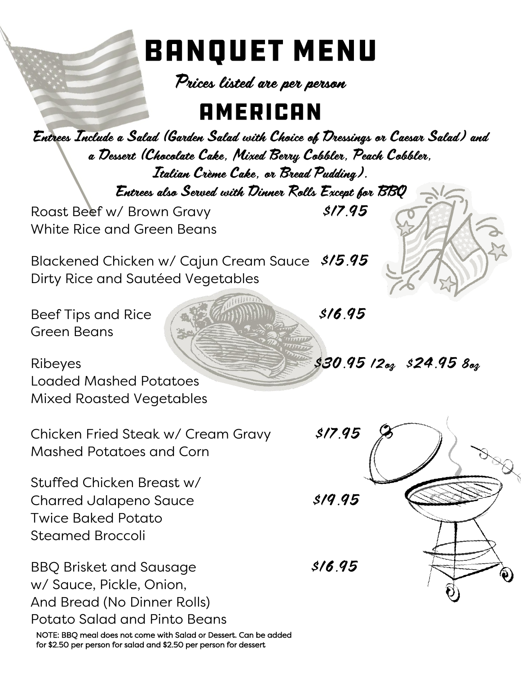# **BANQUET MENU**

Prices listed are per person

#### **AMERICAN**

Entrees Include a Salad (Garden Salad with Choice of Dressings or Caesar Salad) and a Dessert (Chocolate Cake, Mixed Berry Cobbler, Peach Cobbler, Italian Crème Cake, or Bread Pudding). Entrees also Served with Dinner Rolls Except for BBQ Roast Beef w/ Brown Gravy **\$17.95** White Rice and Green Beans

Blackened Chicken w/ Cajun Cream Sauce \$15.95 Dirty Rice and Sautéed Vegetables

Beef Tips and Rice  $\sqrt{3.95}$ Green Beans

Ribeyes  $\frac{1}{330.95}$  12oz  $\frac{1}{324.95}$  8oz Loaded Mashed Potatoes Mixed Roasted Vegetables

Chicken Fried Steak w/ Cream Gravy \$17.95 Mashed Potatoes and Corn

Stuffed Chicken Breast w/ Charred Jalapeno Sauce \$19.95 Twice Baked Potato Steamed Broccoli

BBQ Brisket and Sausage \$16.95 w/ Sauce, Pickle, Onion, And Bread (No Dinner Rolls) Potato Salad and Pinto Beans

NOTE: BBQ meal does not come with Salad or Dessert. Can be added for \$2.50 per person for salad and \$2.50 per person for dessert